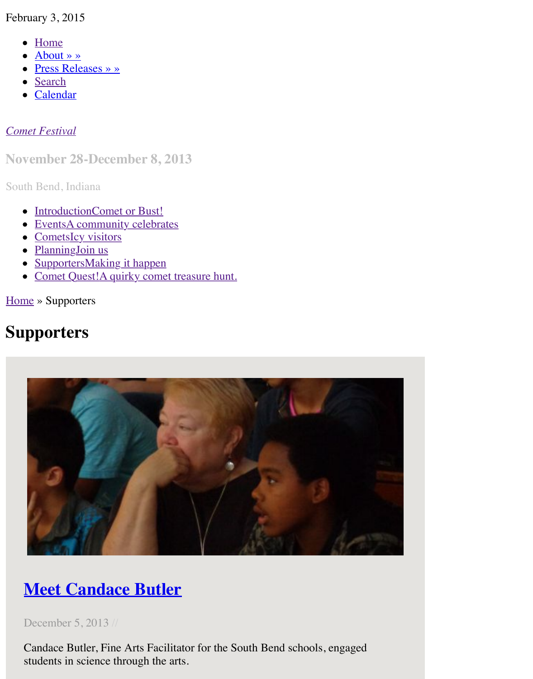#### *Comet Festival*

#### **Nov[ember 28](http://www.cometfestival.com/index.php/about/)-December 8, 2013**

South [Bend, I](http://www.cometfestival.com/index.php/search/)ndiana

- [Introduct](http://www.cometfestival.com/index.php/calendar/)ionComet or Bust!
- EventsA community celebrates
- [CometsIc](http://www.cometfestival.com/)y visitors
- PlanningJoin us
- SupportersMaking it happen
- Comet Quest!A quirky comet treasure hunt.

Home » Supporters

# **Su[pporters](http://www.cometfestival.com/index.php/events/)**



# **Meet Candace Butler**

December 5, 2013 //

[Candace Butler, Fine Arts Facilitator for the South Bend schools, engaged](http://www.cometfestival.com/index.php/supporters/meet-candace-butler/) students in science through the arts.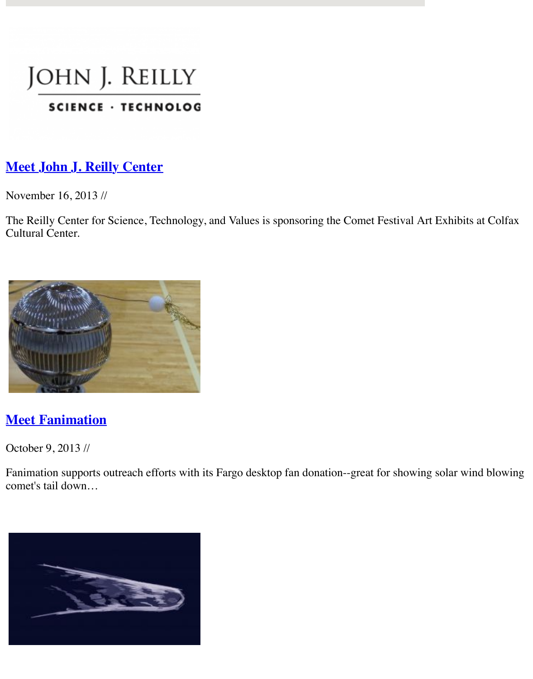#### SCIENCE · IECHNOLOG

#### **Meet John J. Reilly Center**

November 16, 2013 //

[The Reilly Center for Science, Technology](http://www.cometfestival.com/index.php/supporters/meet-reilly-center/), and Values is sponsoring the Comet Festival Art E Cultural Center.



#### **Meet Fanimation**

October 9, 2013 //

[Fanimation supports outreach efforts with i](http://www.cometfestival.com/index.php/supporters/meet-fanimation/)ts Fargo desktop fan donation--great for showing so comet's tail down…

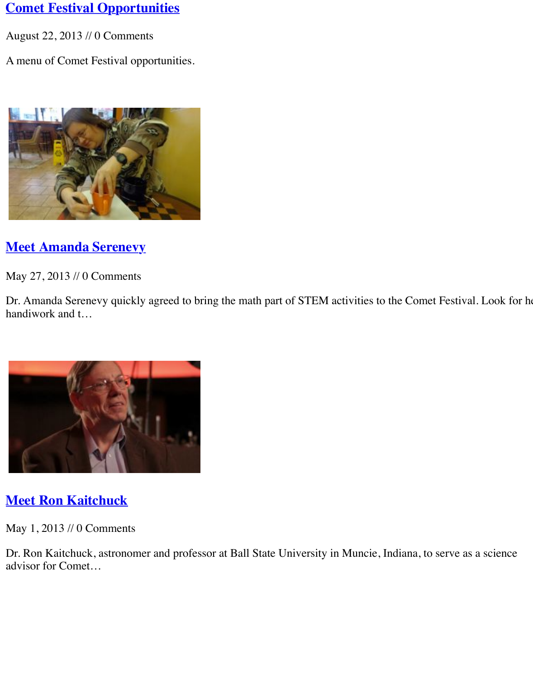

## **Meet Amanda Serenevy**

May 27, 2013 // 0 Comments

[Dr. Amanda Serenevy quickly agreed to br](http://www.cometfestival.com/index.php/supporters/meet-amanda-serenevy/)ing the math part of STEM activities to the Comet I handiwork and t…



# **Meet Ron Kaitchuck**

May 1, 2013 // 0 Comments

[Dr. Ron Kaitchuck, astronomer and profess](http://www.cometfestival.com/index.php/supporters/meet-ron-kaitchuck/)or at Ball State University in Muncie, Indiana, to se advisor for Comet…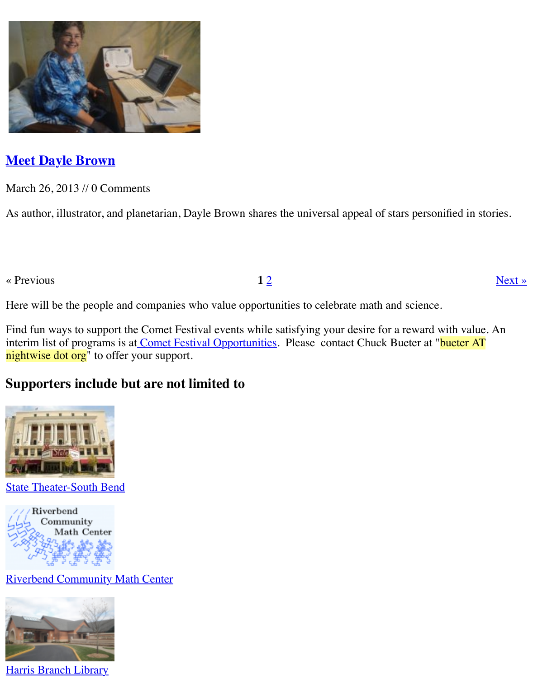

## **Meet Dayle Brown**

March 26, 2013 // 0 Comments

[As author, illustrator, and planetarian, Dayl](http://www.cometfestival.com/index.php/supporters/meet-dayle-brown/)e Brown shares the universal appeal of stars person

 $\alpha$  Previous **1** 2

Here will be the people and companies who value opportunities to celebrate math and science.

Find fun ways to support the Comet Festival events while satisfying your desire for a reward v interim list of programs is at Comet Festival Opportunities. Please contact Chuck Bueter at " nightwise dot org" to offer your support.

### **Supporters include but are not limited to**



State Theater-South Bend



Riverbend Community Math Center



Harris Branch Library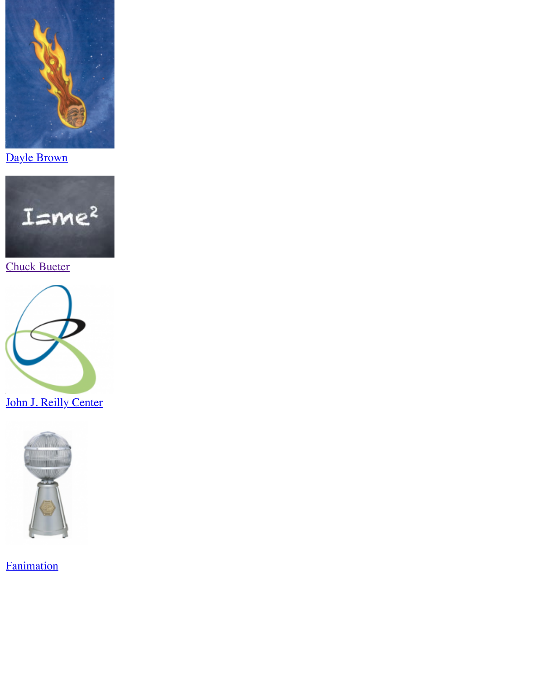

Dayle Brown



[Chuck Bueter](http://pegasusproductions.net/index.html)



John J. Reilly Center



**Fanimation**